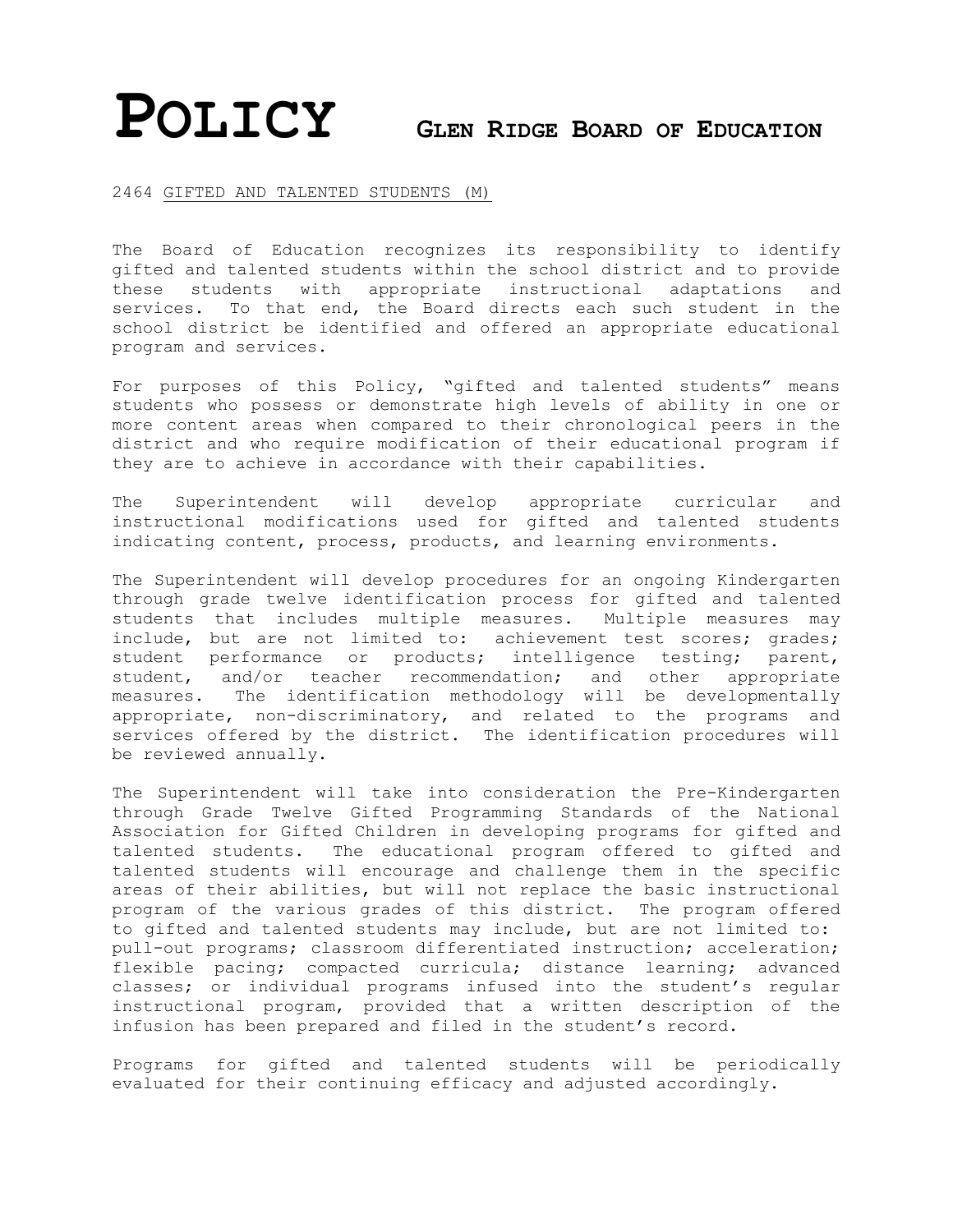## **POLICY <sup>G</sup>LEN RIDGE BOARD OF EDUCATION**

## 2464 GIFTED AND TALENTED STUDENTS (M)

The Board of Education recognizes its responsibility to identify gifted and talented students within the school district and to provide these students with appropriate instructional adaptations and services. To that end, the Board directs each such student in the school district be identified and offered an appropriate educational program and services.

For purposes of this Policy, "gifted and talented students" means students who possess or demonstrate high levels of ability in one or more content areas when compared to their chronological peers in the district and who require modification of their educational program if they are to achieve in accordance with their capabilities.

The Superintendent will develop appropriate curricular and instructional modifications used for gifted and talented students indicating content, process, products, and learning environments.

The Superintendent will develop procedures for an ongoing Kindergarten through grade twelve identification process for gifted and talented students that includes multiple measures. Multiple measures may include, but are not limited to: achievement test scores; grades; student performance or products; intelligence testing; parent, student, and/or teacher recommendation; and other appropriate measures. The identification methodology will be developmentally appropriate, non-discriminatory, and related to the programs and services offered by the district. The identification procedures will be reviewed annually.

The Superintendent will take into consideration the Pre-Kindergarten through Grade Twelve Gifted Programming Standards of the National Association for Gifted Children in developing programs for gifted and talented students. The educational program offered to gifted and talented students will encourage and challenge them in the specific areas of their abilities, but will not replace the basic instructional program of the various grades of this district. The program offered to gifted and talented students may include, but are not limited to: pull-out programs; classroom differentiated instruction; acceleration; flexible pacing; compacted curricula; distance learning; advanced classes; or individual programs infused into the student's regular instructional program, provided that a written description of the infusion has been prepared and filed in the student's record.

Programs for gifted and talented students will be periodically evaluated for their continuing efficacy and adjusted accordingly.